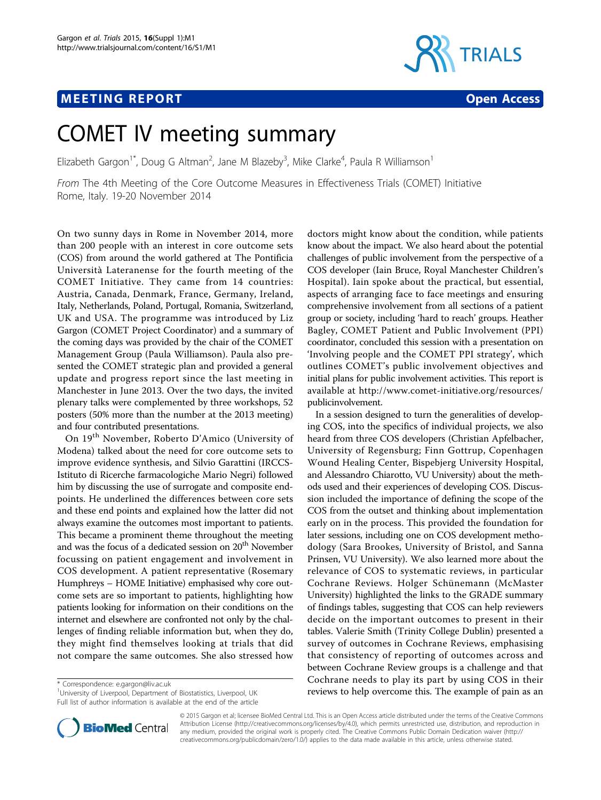## **MEETING REPORT CONSUMING A REPORT** And the construction of the consumption of the consumption of the consumption of the consumption of the consumption of the consumption of the consumption of the consumption of the consum



## COMET IV meeting summary

Elizabeth Gargon<sup>1\*</sup>, Doug G Altman<sup>2</sup>, Jane M Blazeby<sup>3</sup>, Mike Clarke<sup>4</sup>, Paula R Williamson<sup>1</sup>

From The 4th Meeting of the Core Outcome Measures in Effectiveness Trials (COMET) Initiative Rome, Italy. 19-20 November 2014

On two sunny days in Rome in November 2014, more than 200 people with an interest in core outcome sets (COS) from around the world gathered at The Pontificia Università Lateranense for the fourth meeting of the COMET Initiative. They came from 14 countries: Austria, Canada, Denmark, France, Germany, Ireland, Italy, Netherlands, Poland, Portugal, Romania, Switzerland, UK and USA. The programme was introduced by Liz Gargon (COMET Project Coordinator) and a summary of the coming days was provided by the chair of the COMET Management Group (Paula Williamson). Paula also presented the COMET strategic plan and provided a general update and progress report since the last meeting in Manchester in June 2013. Over the two days, the invited plenary talks were complemented by three workshops, 52 posters (50% more than the number at the 2013 meeting) and four contributed presentations.

On 19th November, Roberto D'Amico (University of Modena) talked about the need for core outcome sets to improve evidence synthesis, and Silvio Garattini (IRCCS-Istituto di Ricerche farmacologiche Mario Negri) followed him by discussing the use of surrogate and composite endpoints. He underlined the differences between core sets and these end points and explained how the latter did not always examine the outcomes most important to patients. This became a prominent theme throughout the meeting and was the focus of a dedicated session on 20<sup>th</sup> November focussing on patient engagement and involvement in COS development. A patient representative (Rosemary Humphreys – HOME Initiative) emphasised why core outcome sets are so important to patients, highlighting how patients looking for information on their conditions on the internet and elsewhere are confronted not only by the challenges of finding reliable information but, when they do, they might find themselves looking at trials that did not compare the same outcomes. She also stressed how

<sup>1</sup>University of Liverpool, Department of Biostatistics, Liverpool, UK Full list of author information is available at the end of the article



In a session designed to turn the generalities of developing COS, into the specifics of individual projects, we also heard from three COS developers (Christian Apfelbacher, University of Regensburg; Finn Gottrup, Copenhagen Wound Healing Center, Bispebjerg University Hospital, and Alessandro Chiarotto, VU University) about the methods used and their experiences of developing COS. Discussion included the importance of defining the scope of the COS from the outset and thinking about implementation early on in the process. This provided the foundation for later sessions, including one on COS development methodology (Sara Brookes, University of Bristol, and Sanna Prinsen, VU University). We also learned more about the relevance of COS to systematic reviews, in particular Cochrane Reviews. Holger Schünemann (McMaster University) highlighted the links to the GRADE summary of findings tables, suggesting that COS can help reviewers decide on the important outcomes to present in their tables. Valerie Smith (Trinity College Dublin) presented a survey of outcomes in Cochrane Reviews, emphasising that consistency of reporting of outcomes across and between Cochrane Review groups is a challenge and that Cochrane needs to play its part by using COS in their reviews to pray its pair by using  $\sim$  3 in their<br>
<sup>1</sup>University of Liverpool, Department of Biostatistics, Liverpool, UK **Previews to help overcome this. The example of pain as an** 



© 2015 Gargon et al; licensee BioMed Central Ltd. This is an Open Access article distributed under the terms of the Creative Commons Attribution License [\(http://creativecommons.org/licenses/by/4.0](http://creativecommons.org/licenses/by/4.0)), which permits unrestricted use, distribution, and reproduction in any medium, provided the original work is properly cited. The Creative Commons Public Domain Dedication waiver [\(http://](http://creativecommons.org/publicdomain/zero/1.0/) [creativecommons.org/publicdomain/zero/1.0/](http://creativecommons.org/publicdomain/zero/1.0/)) applies to the data made available in this article, unless otherwise stated.